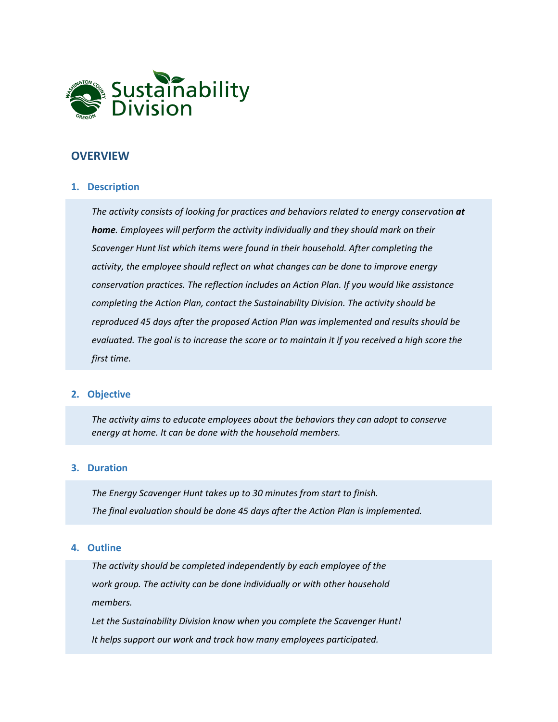

#### **OVERVIEW**

#### **1. Description**

*The activity consists of looking for practices and behaviors related to energy conservation at home. Employees will perform the activity individually and they should mark on their Scavenger Hunt list which items were found in their household. After completing the activity, the employee should reflect on what changes can be done to improve energy conservation practices. The reflection includes an Action Plan. If you would like assistance completing the Action Plan, contact the Sustainability Division. The activity should be reproduced 45 days after the proposed Action Plan was implemented and results should be evaluated. The goal is to increase the score or to maintain it if you received a high score the first time.*

#### **2. Objective**

*The activity aims to educate employees about the behaviors they can adopt to conserve energy at home. It can be done with the household members.*

#### **3. Duration**

*The Energy Scavenger Hunt takes up to 30 minutes from start to finish. The final evaluation should be done 45 days after the Action Plan is implemented.*

#### **4. Outline**

*The activity should be completed independently by each employee of the work group. The activity can be done individually or with other household members.*

*Let the Sustainability Division know when you complete the Scavenger Hunt! It helps support our work and track how many employees participated.*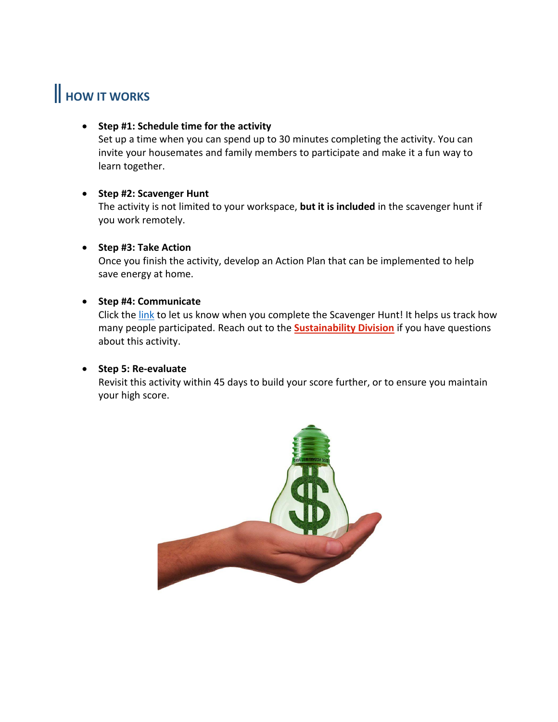# **HOW IT WORKS**

#### • **Step #1: Schedule time for the activity**

Set up a time when you can spend up to 30 minutes completing the activity. You can invite your housemates and family members to participate and make it a fun way to learn together.

#### • **Step #2: Scavenger Hunt**

The activity is not limited to your workspace, **but it is included** in the scavenger hunt if you work remotely.

#### • **Step #3: Take Action**

Once you finish the activity, develop an Action Plan that can be implemented to help save energy at home.

#### • **Step #4: Communicate**

Click the [link](https://www.washingtoncounty-or.com/jfe/form/SV_d520L2ijkNIFyrs) to let us know when you complete the Scavenger Hunt! It helps us track how many people participated. Reach out to the **[Sustainability Division](mailto:Sustainability@co.washington.or.us)** if you have questions about this activity.

#### • **Step 5: Re-evaluate**

Revisit this activity within 45 days to build your score further, or to ensure you maintain your high score.

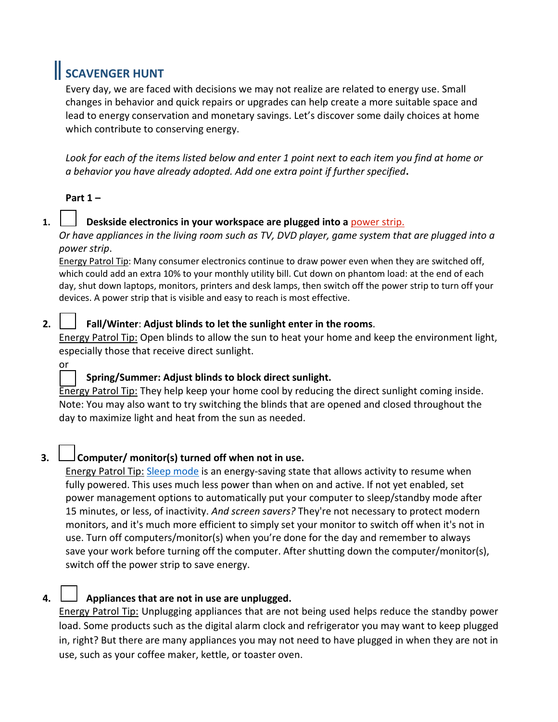# **SCAVENGER HUNT**

Every day, we are faced with decisions we may not realize are related to energy use. Small changes in behavior and quick repairs or upgrades can help create a more suitable space and lead to energy conservation and monetary savings. Let's discover some daily choices at home which contribute to conserving energy.

*Look for each of the items listed below and enter 1 point next to each item you find at home or a behavior you have already adopted. Add one extra point if further specified***.**

# **Part 1 –**

# **1. Deskside electronics in your workspace are plugged into a** [power strip.](https://www.nrel.gov/docs/fy14osti/60461.pdf)

*Or have appliances in the living room such as TV, DVD player, game system that are plugged into a power strip*.

Energy Patrol Tip: Many consumer electronics continue to draw power even when they are switched off, which could add an extra 10% to your monthly utility bill. Cut down on phantom load: at the end of each day, shut down laptops, monitors, printers and desk lamps, then switch off the power strip to turn off your devices. A power strip that is visible and easy to reach is most effective.

# **2. Fall/Winter**: **Adjust blinds to let the sunlight enter in the rooms**.

Energy Patrol Tip: Open blinds to allow the sun to heat your home and keep the environment light, especially those that receive direct sunlight.

# or

# **Spring/Summer: Adjust blinds to block direct sunlight.**

Energy Patrol Tip: They help keep your home cool by reducing the direct sunlight coming inside. Note: You may also want to try switching the blinds that are opened and closed throughout the day to maximize light and heat from the sun as needed.

# **3. Computer/ monitor(s) turned off when not in use.**

Energy Patrol Tip: [Sleep mode](https://www.energy.gov/energysaver/appliances-and-electronics/energy-efficient-computers-home-office-equipment-and) is an energy-saving state that allows activity to resume when fully powered. This uses much less power than when on and active. If not yet enabled, set power management options to automatically put your computer to sleep/standby mode after 15 minutes, or less, of inactivity. *And screen savers?* They're not necessary to protect modern monitors, and it's much more efficient to simply set your monitor to switch off when it's not in use. Turn off computers/monitor(s) when you're done for the day and remember to always save your work before turning off the computer. After shutting down the computer/monitor(s), switch off the power strip to save energy.

# **4. Appliances that are not in use are unplugged.**

Energy Patrol Tip: Unplugging appliances that are not being used helps reduce the standby power load. Some products such as the digital alarm clock and refrigerator you may want to keep plugged in, right? But there are many appliances you may not need to have plugged in when they are not in use, such as your coffee maker, kettle, or toaster oven.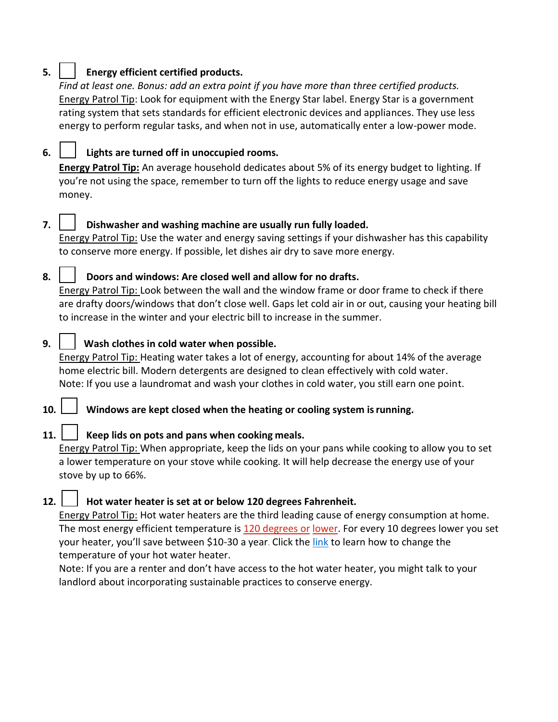# **5. Energy efficient certified products.**

*Find at least one. Bonus: add an extra point if you have more than three certified products.* Energy Patrol Tip: Look for equipment with the Energy Star label. Energy Star is a government rating system that sets standards for efficient electronic devices and appliances. They use less energy to perform regular tasks, and when not in use, automatically enter a low-power mode.

# **6. Lights are turned off in unoccupied rooms.**

**Energy Patrol Tip:** An average household dedicates about 5% of its energy budget to lighting. If you're not using the space, remember to turn off the lights to reduce energy usage and save money.

# **7. Dishwasher and washing machine are usually run fully loaded.**

Energy Patrol Tip: Use the water and energy saving settings if your dishwasher has this capability to conserve more energy. If possible, let dishes air dry to save more energy.

# **8. Doors and windows: Are closed well and allow for no drafts.**

Energy Patrol Tip: Look between the wall and the [window frame o](https://www.pellabranch.com/blog/global-blogs/a-guide-to-the-parts-of-a-window/)r door frame to check if there are drafty doors/windows that don't close well. Gaps let cold air in or out, causing your heating bill to increase in the winter and your electric bill to increase in the summer.

# **9. Wash clothes in cold water when possible.**

Energy Patrol Tip: Heating water takes a lot of energy, accounting for about 14% of the average home electric bill. Modern detergents are designed to clean effectively with cold water. Note: If you use a laundromat and wash your clothes in cold water, you still earn one point.

# **10. Windows are kept closed when the heating or cooling system isrunning.**

# **11. Keep lids on pots and pans when cooking meals.**

Energy Patrol Tip: When appropriate, keep the lids on your pans while cooking to allow you to set a lower temperature on your stove while cooking. It will help decrease the energy use of your stove by up to 66%.

# **12. Hot water heater is set at or below 120 degrees Fahrenheit.**

Energy Patrol Tip: Hot water heaters are the third leading cause of energy consumption at home. The most energy efficient temperature is [120 degrees or](https://www.energystar.gov/campaign/waysToSave#!card47-GW84) [lower.](https://www.energystar.gov/campaign/waysToSave#!card47-GW84) For every 10 degrees lower you set your heater, you'll save between \$10-30 a year. Click the [link](https://www.youtube.com/watch?v=nnMchf1Tgzc) to learn how to change the temperature of your hot water heater.

Note: If you are a renter and don't have access to the hot water heater, you might talk to your landlord about incorporating sustainable practices to conserve energy.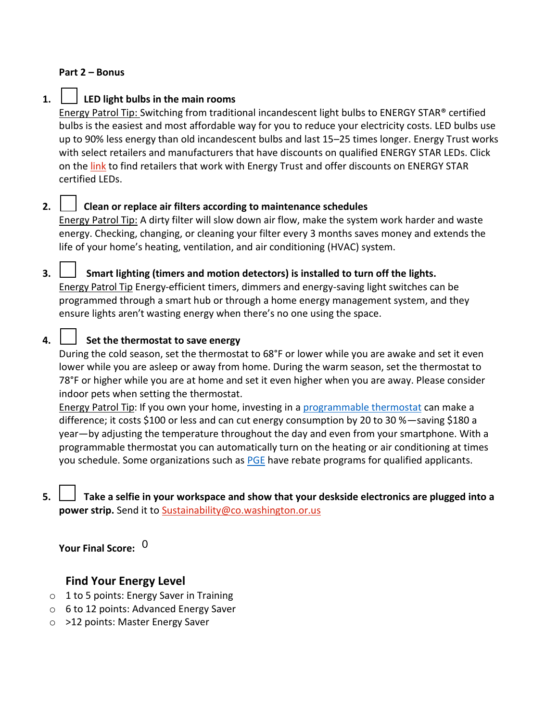#### **Part 2 – Bonus**

#### **1. LED light bulbs in the main rooms**

Energy Patrol Tip: Switching from traditional incandescent light bulbs to ENERGY STAR® certified bulbs is the easiest and most affordable way for you to reduce your electricity costs. LED bulbs use up to 90% less energy than old incandescent bulbs and last 15–25 times longer. Energy Trust works with select retailers and manufacturers that have discounts on qualified ENERGY STAR LEDs. Click on the [link](https://energytrust.org/incentive-groups/residential-lighting/) to find retailers that work with Energy Trust and offer discounts on ENERGY STAR certified LEDs.

# **2. Clean or replace air filters according to maintenance schedules**

Energy Patrol Tip: A dirty filter will slow down air flow, make the system work harder and waste energy. Checking, changing, or cleaning your filter every 3 months saves money and extends the life of your home's heating, ventilation, and air conditioning (HVAC) system.

### **3. Smart lighting (timers and motion detectors) is installed to turn off the lights.**

Energy Patrol Tip Energy-efficient timers, dimmers and energy-saving light switches can be programmed through a smart hub or through a home energy management system, and they ensure lights aren't wasting energy when there's no one using the space.

# **4. Set the thermostat to save energy**

During the cold season, set the thermostat to 68°F or lower while you are awake and set it even lower while you are asleep or away from home. During the warm season, set the thermostat to 78°F or higher while you are at home and set it even higher when you are away. Please consider indoor pets when setting the thermostat.

Energy Patrol Tip: If you own your home, investing in [a programmable thermostat](https://www.energystar.gov/products/heating_cooling/smart_thermostats) can make a difference; it costs \$100 or less and can cut energy consumption by 20 to 30 %—saving \$180 a year—by adjusting the temperature throughout the day and even from your smartphone. With a programmable thermostat you can automatically turn on the heating or air conditioning at times you schedule. Some organizations such as [PGE](https://portlandgeneral.com/save-money/save-money-home/smart-thermostat-program) have rebate programs for qualified applicants.

**5. Take a selfie in your workspace and show that your deskside electronics are plugged into a power strip.** Send it to [Sustainability@co.washington.or.us](mailto:Sustainability@co.washington.or.us)

**Your Final Score:**  0

# **Find Your Energy Level**

- o 1 to 5 points: Energy Saver in Training
- o 6 to 12 points: Advanced Energy Saver
- o >12 points: Master Energy Saver